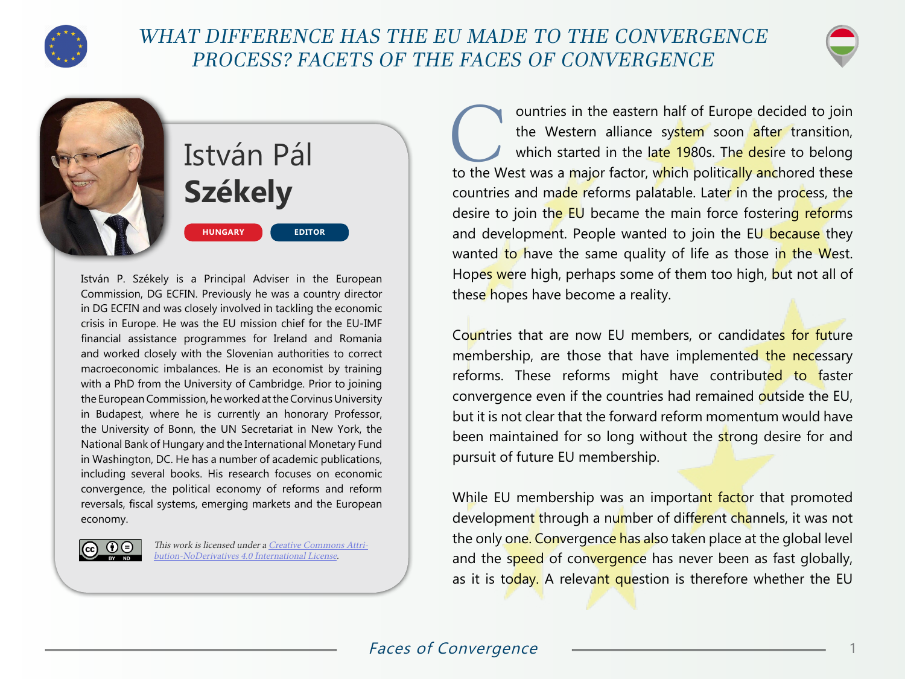

## WHAT DIFFERENCE HAS THE EU MADE TO THE CONVERGENCE PROCESS? FACETS OF THE FACES OF CONVERGENCE



## István Pál **Székely HUNGARY EDITOR**

István P. Székely is a Principal Adviser in the European Commission, DG ECFIN. Previously he was a country director in DG ECFIN and was closely involved in tackling the economic crisis in Europe. He was the EU mission chief for the EU-IMF financial assistance programmes for Ireland and Romania and worked closely with the Slovenian authorities to correct macroeconomic imbalances. He is an economist by training with a PhD from the University of Cambridge. Prior to joining the European Commission, he worked at the Corvinus University in Budapest, where he is currently an honorary Professor, the University of Bonn, the UN Secretariat in New York, the National Bank of Hungary and the International Monetary Fund in Washington, DC. He has a number of academic publications, including several books. His research focuses on economic convergence, the political economy of reforms and reform reversals, fiscal systems, emerging markets and the European economy.



This work is licensed under a [Creative Commons Attri](https://creativecommons.org/licenses/by-nd/4.0/)[bution-NoDerivatives 4.0 International License](https://creativecommons.org/licenses/by-nd/4.0/).

**Countries in the eastern half of Europe decided to join**<br>the Western alliance system soon after transition,<br>which started in the late 1980s. The desire to belong<br>to the West was a major factor, which politically anchored the Western alliance system soon after transition, which started in the late 1980s. The desire to belong countries and made reforms palatable. Later in the process, the desire to join the EU became the main force fostering reforms and development. People wanted to join the EU because they wanted to have the same quality of life as those in the West. Hopes were high, perhaps some of them too high, but not all of these hopes have become a reality.

Countries that are now EU members, or candidates for future membership, are those that have implemented the necessary reforms. These reforms might have contributed to faster convergence even if the countries had remained outside the EU, but it is not clear that the forward reform momentum would have been maintained for so long without the strong desire for and pursuit of future EU membership.

While EU membership was an important factor that promoted development through a number of different channels, it was not the only one. Convergence has also taken place at the global level and the speed of convergence has never been as fast globally, as it is today. A relevant question is therefore whether the EU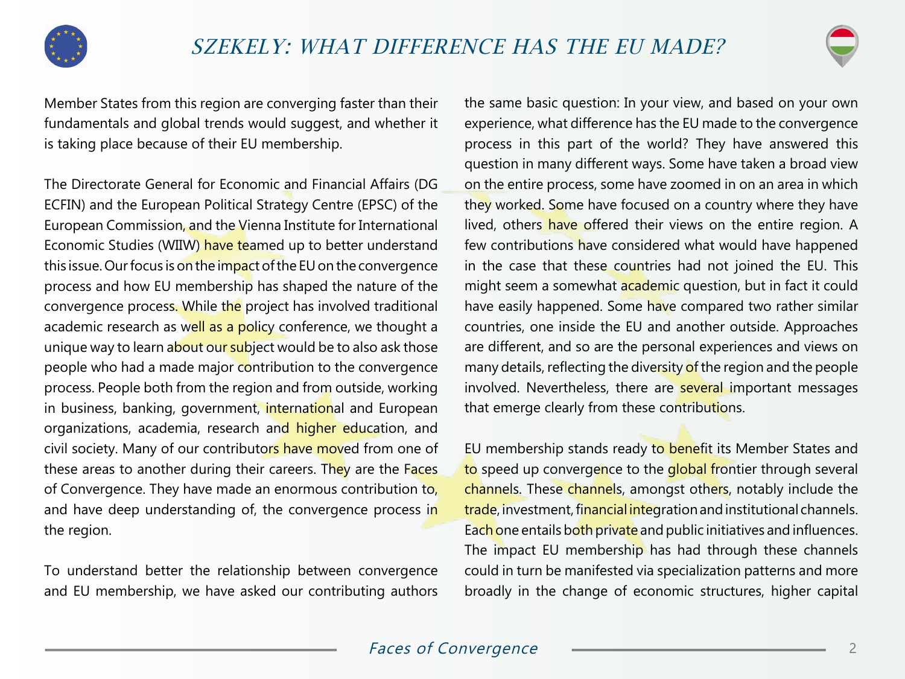



Member States from this region are converging faster than their fundamentals and global trends would suggest, and whether it is taking place because of their EU membership.

The Directorate General for Economic and Financial Affairs (DG ECFIN) and the European Political Strategy Centre (EPSC) of the European Commission, and the Vienna Institute for International Economic Studies (WIIW) have teamed up to better understand this issue. Our focus is on the impact of the EU on the convergence process and how EU membership has shaped the nature of the convergence process. While the project has involved traditional academic research as well as a policy conference, we thought a unique way to learn about our subject would be to also ask those people who had a made major contribution to the convergence process. People both from the region and from outside, working in business, banking, government, international and European organizations, academia, research and higher education, and civil society. Many of our contributors have moved from one of these areas to another during their careers. They are the Faces of Convergence. They have made an enormous contribution to, and have deep understanding of, the convergence process in the region.

To understand better the relationship between convergence and EU membership, we have asked our contributing authors

the same basic question: In your view, and based on your own experience, what difference has the EU made to the convergence process in this part of the world? They have answered this question in many different ways. Some have taken a broad view on the entire process, some have zoomed in on an area in which they worked. Some have focused on a country where they have lived, others have offered their views on the entire region. A few contributions have considered what would have happened in the case that these countries had not joined the EU. This might seem a somewhat academic question, but in fact it could have easily happened. Some have compared two rather similar countries, one inside the EU and another outside. Approaches are different, and so are the personal experiences and views on many details, reflecting the diversity of the region and the people involved. Nevertheless, there are several important messages that emerge clearly from these contributions.

EU membership stands ready to benefit its Member States and to speed up convergence to the global frontier through several channels. These channels, amongst others, notably include the trade, investment, financial integration and institutional channels. Each one entails both private and public initiatives and influences. The impact EU membership has had through these channels could in turn be manifested via specialization patterns and more broadly in the change of economic structures, higher capital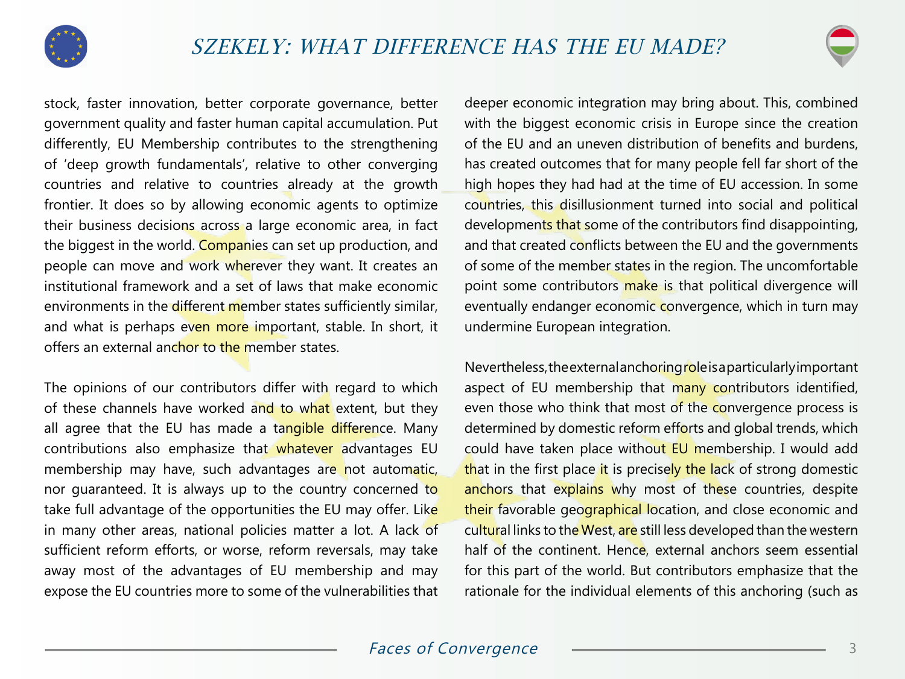



stock, faster innovation, better corporate governance, better government quality and faster human capital accumulation. Put differently, EU Membership contributes to the strengthening of 'deep growth fundamentals', relative to other converging countries and relative to countries already at the growth frontier. It does so by allowing economic agents to optimize their business decisions across a large economic area, in fact the biggest in the world. Companies can set up production, and people can move and work wherever they want. It creates an institutional framework and a set of laws that make economic environments in the different member states sufficiently similar, and what is perhaps even more important, stable. In short, it offers an external anchor to the member states.

The opinions of our contributors differ with regard to which of these channels have worked and to what extent, but they all agree that the EU has made a tangible difference. Many contributions also emphasize that whatever advantages EU membership may have, such advantages are not automatic, nor guaranteed. It is always up to the country concerned to take full advantage of the opportunities the EU may offer. Like in many other areas, national policies matter a lot. A lack of sufficient reform efforts, or worse, reform reversals, may take away most of the advantages of EU membership and may expose the EU countries more to some of the vulnerabilities that

deeper economic integration may bring about. This, combined with the biggest economic crisis in Europe since the creation of the EU and an uneven distribution of benefits and burdens, has created outcomes that for many people fell far short of the high hopes they had had at the time of EU accession. In some countries, this disillusionment turned into social and political developments that some of the contributors find disappointing, and that created conflicts between the EU and the governments of some of the member states in the region. The uncomfortable point some contributors make is that political divergence will eventually endanger economic convergence, which in turn may undermine European integration.

Nevertheless, the external anchoring role is a particularly important aspect of EU membership that many contributors identified, even those who think that most of the convergence process is determined by domestic reform efforts and global trends, which could have taken place without EU membership. I would add that in the first place it is precisely the lack of strong domestic anchors that explains why most of these countries, despite their favorable geographical location, and close economic and cultural links to the West, are still less developed than the western half of the continent. Hence, external anchors seem essential for this part of the world. But contributors emphasize that the rationale for the individual elements of this anchoring (such as